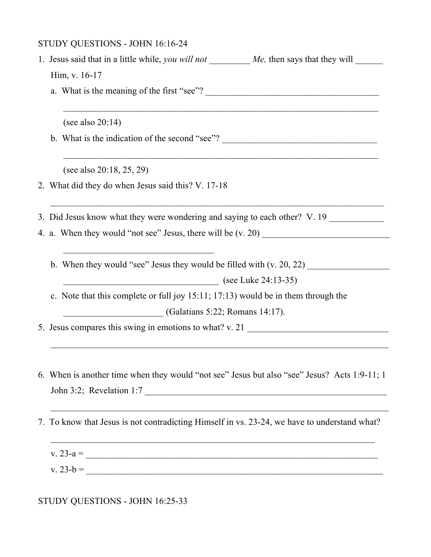## STUDY QUESTIONS - JOHN 16:16-24

|  | 1. Jesus said that in a little while, you will not _________ Me, then says that they will _______ |
|--|---------------------------------------------------------------------------------------------------|
|  | Him, v. 16-17                                                                                     |
|  |                                                                                                   |
|  | (see also $20:14$ )                                                                               |
|  | b. What is the indication of the second "see"? __________________________________                 |
|  | (see also 20:18, 25, 29)                                                                          |
|  | 2. What did they do when Jesus said this? V. 17-18                                                |
|  | 3. Did Jesus know what they were wondering and saying to each other? V. 19                        |
|  |                                                                                                   |
|  | b. When they would "see" Jesus they would be filled with $(v. 20, 22)$                            |
|  | $(see Luke 24:13-35)$                                                                             |
|  | c. Note that this complete or full joy 15:11; 17:13) would be in them through the                 |
|  | $\boxed{\phantom{a} \text{Galatians 5:22; Romans 14:17}}$                                         |
|  | 5. Jesus compares this swing in emotions to what? v. 21                                           |
|  |                                                                                                   |
|  | 6. When is another time when they would "not see" Jesus but also "see" Jesus? Acts 1:9-11; 1      |
|  | John 3:2; Revelation 1:7                                                                          |
|  | 7. To know that Jesus is not contradicting Himself in vs. 23-24, we have to understand what?      |

 v. 23-a = \_\_\_\_\_\_\_\_\_\_\_\_\_\_\_\_\_\_\_\_\_\_\_\_\_\_\_\_\_\_\_\_\_\_\_\_\_\_\_\_\_\_\_\_\_\_\_\_\_\_\_\_\_\_\_\_\_\_\_\_\_\_\_\_ v. 23-b = \_\_\_\_\_\_\_\_\_\_\_\_\_\_\_\_\_\_\_\_\_\_\_\_\_\_\_\_\_\_\_\_\_\_\_\_\_\_\_\_\_\_\_\_\_\_\_\_\_\_\_\_\_\_\_\_\_\_\_\_\_\_\_\_\_

## STUDY QUESTIONS - JOHN 16:25-33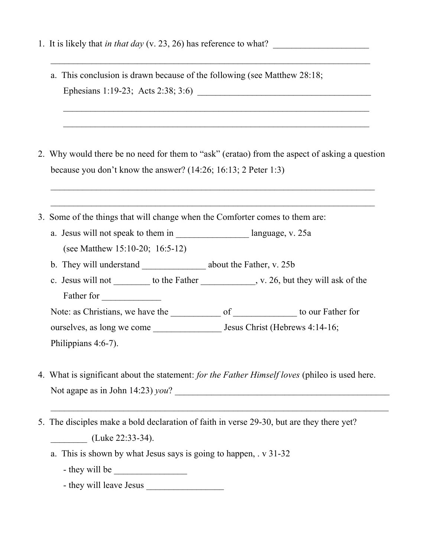- 1. It is likely that *in that day* (v. 23, 26) has reference to what?
	- a. This conclusion is drawn because of the following (see Matthew 28:18; Ephesians 1:19-23; Acts 2:38; 3:6)

 $\mathcal{L}_\text{max}$  , and the contribution of the contribution of the contribution of the contribution of the contribution of the contribution of the contribution of the contribution of the contribution of the contribution of t

2. Why would there be no need for them to "ask" (eratao) from the aspect of asking a question because you don't know the answer? (14:26; 16:13; 2 Peter 1:3)

 $\mathcal{L}_\text{max} = \frac{1}{2} \sum_{i=1}^n \mathcal{L}_\text{max}(\mathbf{z}_i - \mathbf{z}_i)$ 

 $\mathcal{L}_\text{max} = \frac{1}{2} \sum_{i=1}^n \mathcal{L}_\text{max}(\mathbf{z}_i - \mathbf{z}_i)$ 

- 3. Some of the things that will change when the Comforter comes to them are:
	- a. Jesus will not speak to them in \_\_\_\_\_\_\_\_\_\_\_\_\_\_\_\_\_\_\_ language, v. 25a (see Matthew 15:10-20; 16:5-12)
	- b. They will understand \_\_\_\_\_\_\_\_\_\_\_\_\_\_ about the Father, v. 25b
	- c. Jesus will not to the Father , v. 26, but they will ask of the Father for \_\_\_\_\_\_\_\_\_\_\_\_\_

Note: as Christians, we have the \_\_\_\_\_\_\_\_\_\_\_\_\_ of \_\_\_\_\_\_\_\_\_\_\_\_\_ to our Father for ourselves, as long we come \_\_\_\_\_\_\_\_\_\_\_\_\_\_\_\_\_\_\_\_\_\_\_\_ Jesus Christ (Hebrews 4:14-16;

Philippians 4:6-7).

- 4. What is significant about the statement: for the Father Himself loves (phileo is used here. Not agape as in John 14:23)  $you$ ?
- 5. The disciples make a bold declaration of faith in verse 29-30, but are they there yet? (Luke 22:33-34).
	- a. This is shown by what Jesus says is going to happen, . v 31-32
		- they will be  $\qquad \qquad \qquad$
		- they will leave Jesus \_\_\_\_\_\_\_\_\_\_\_\_\_\_\_\_\_